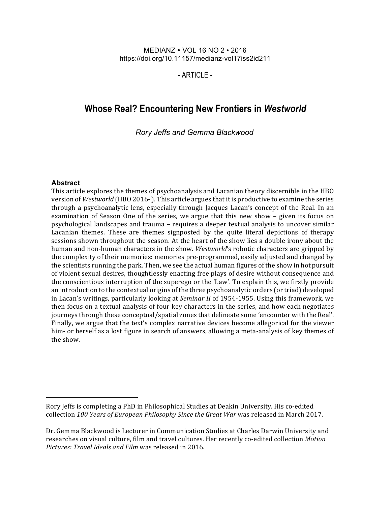#### MEDIANZ VOL 16 NO 2 • 2016 https://doi.org/10.11157/medianz-vol17iss2id211

- ARTICLE -

# **Whose Real? Encountering New Frontiers in** *Westworld*

*Rory Jeffs and Gemma Blackwood*

#### **Abstract**

l

This article explores the themes of psychoanalysis and Lacanian theory discernible in the HBO version of *Westworld* (HBO 2016-). This article argues that it is productive to examine the series through a psychoanalytic lens, especially through Jacques Lacan's concept of the Real. In an examination of Season One of the series, we argue that this new show  $-$  given its focus on psychological landscapes and trauma – requires a deeper textual analysis to uncover similar Lacanian themes. These are themes signposted by the quite literal depictions of therapy sessions shown throughout the season. At the heart of the show lies a double irony about the human and non-human characters in the show. *Westworld's* robotic characters are gripped by the complexity of their memories: memories pre-programmed, easily adjusted and changed by the scientists running the park. Then, we see the actual human figures of the show in hot pursuit of violent sexual desires, thoughtlessly enacting free plays of desire without consequence and the conscientious interruption of the superego or the 'Law'. To explain this, we firstly provide an introduction to the contextual origins of the three psychoanalytic orders (or triad) developed in Lacan's writings, particularly looking at *Seminar II* of 1954-1955. Using this framework, we then focus on a textual analysis of four key characters in the series, and how each negotiates journeys through these conceptual/spatial zones that delineate some 'encounter with the Real'. Finally, we argue that the text's complex narrative devices become allegorical for the viewer him- or herself as a lost figure in search of answers, allowing a meta-analysis of key themes of the show.

Rory Jeffs is completing a PhD in Philosophical Studies at Deakin University. His co-edited collection 100 Years of European Philosophy Since the Great War was released in March 2017.

Dr. Gemma Blackwood is Lecturer in Communication Studies at Charles Darwin University and researches on visual culture, film and travel cultures. Her recently co-edited collection *Motion Pictures: Travel Ideals and Film was released in 2016.*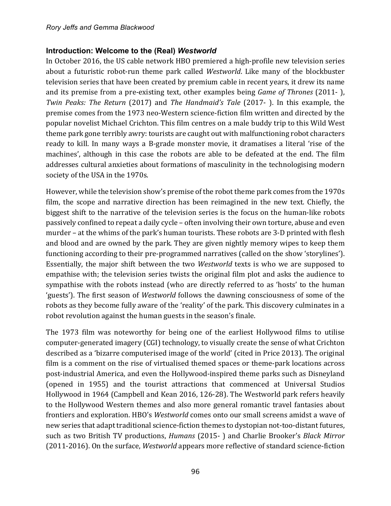## **Introduction: Welcome to the (Real)** *Westworld*

In October 2016, the US cable network HBO premiered a high-profile new television series about a futuristic robot-run theme park called *Westworld*. Like many of the blockbuster television series that have been created by premium cable in recent years, it drew its name and its premise from a pre-existing text, other examples being *Game of Thrones* (2011-), *Twin Peaks: The Return* (2017) and *The Handmaid's Tale* (2017-). In this example, the premise comes from the 1973 neo-Western science-fiction film written and directed by the popular novelist Michael Crichton. This film centres on a male buddy trip to this Wild West theme park gone terribly awry: tourists are caught out with malfunctioning robot characters ready to kill. In many ways a B-grade monster movie, it dramatises a literal 'rise of the machines', although in this case the robots are able to be defeated at the end. The film addresses cultural anxieties about formations of masculinity in the technologising modern society of the USA in the 1970s.

However, while the television show's premise of the robot theme park comes from the 1970s film, the scope and narrative direction has been reimagined in the new text. Chiefly, the biggest shift to the narrative of the television series is the focus on the human-like robots passively confined to repeat a daily cycle – often involving their own torture, abuse and even murder – at the whims of the park's human tourists. These robots are 3-D printed with flesh and blood and are owned by the park. They are given nightly memory wipes to keep them functioning according to their pre-programmed narratives (called on the show 'storylines'). Essentially, the major shift between the two *Westworld* texts is who we are supposed to empathise with; the television series twists the original film plot and asks the audience to sympathise with the robots instead (who are directly referred to as 'hosts' to the human 'guests'). The first season of *Westworld* follows the dawning consciousness of some of the robots as they become fully aware of the 'reality' of the park. This discovery culminates in a robot revolution against the human guests in the season's finale.

The 1973 film was noteworthy for being one of the earliest Hollywood films to utilise computer-generated imagery (CGI) technology, to visually create the sense of what Crichton described as a 'bizarre computerised image of the world' (cited in Price 2013). The original film is a comment on the rise of virtualised themed spaces or theme-park locations across post-industrial America, and even the Hollywood-inspired theme parks such as Disneyland (opened in 1955) and the tourist attractions that commenced at Universal Studios Hollywood in 1964 (Campbell and Kean 2016, 126-28). The Westworld park refers heavily to the Hollywood Western themes and also more general romantic travel fantasies about frontiers and exploration. HBO's *Westworld* comes onto our small screens amidst a wave of new series that adapt traditional science-fiction themes to dystopian not-too-distant futures, such as two British TV productions, *Humans* (2015- ) and Charlie Brooker's *Black Mirror* (2011-2016). On the surface, *Westworld* appears more reflective of standard science-fiction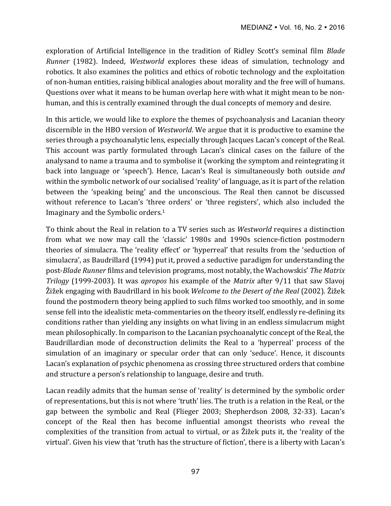exploration of Artificial Intelligence in the tradition of Ridley Scott's seminal film *Blade Runner* (1982). Indeed, *Westworld* explores these ideas of simulation, technology and robotics. It also examines the politics and ethics of robotic technology and the exploitation of non-human entities, raising biblical analogies about morality and the free will of humans. Questions over what it means to be human overlap here with what it might mean to be nonhuman, and this is centrally examined through the dual concepts of memory and desire.

In this article, we would like to explore the themes of psychoanalysis and Lacanian theory discernible in the HBO version of *Westworld*. We argue that it is productive to examine the series through a psychoanalytic lens, especially through Jacques Lacan's concept of the Real. This account was partly formulated through Lacan's clinical cases on the failure of the analysand to name a trauma and to symbolise it (working the symptom and reintegrating it back into language or 'speech'). Hence, Lacan's Real is simultaneously both outside *and* within the symbolic network of our socialised 'reality' of language, as it is part of the relation between the 'speaking being' and the unconscious. The Real then cannot be discussed without reference to Lacan's 'three orders' or 'three registers', which also included the Imaginary and the Symbolic orders.<sup>1</sup>

To think about the Real in relation to a TV series such as *Westworld* requires a distinction from what we now may call the 'classic' 1980s and 1990s science-fiction postmodern theories of simulacra. The 'reality effect' or 'hyperreal' that results from the 'seduction of simulacra', as Baudrillard (1994) put it, proved a seductive paradigm for understanding the post-*Blade Runner* films and television programs, most notably, the Wachowskis' *The Matrix Trilogy* (1999-2003). It was *apropos* his example of the *Matrix* after 9/11 that saw Slavoj Žižek engaging with Baudrillard in his book *Welcome to the Desert of the Real* (2002). Žižek found the postmodern theory being applied to such films worked too smoothly, and in some sense fell into the idealistic meta-commentaries on the theory itself, endlessly re-defining its conditions rather than yielding any insights on what living in an endless simulacrum might mean philosophically. In comparison to the Lacanian psychoanalytic concept of the Real, the Baudrillardian mode of deconstruction delimits the Real to a 'hyperreal' process of the simulation of an imaginary or specular order that can only 'seduce'. Hence, it discounts Lacan's explanation of psychic phenomena as crossing three structured orders that combine and structure a person's relationship to language, desire and truth.

Lacan readily admits that the human sense of 'reality' is determined by the symbolic order of representations, but this is not where 'truth' lies. The truth is a relation in the Real, or the gap between the symbolic and Real (Flieger 2003; Shepherdson 2008, 32-33). Lacan's concept of the Real then has become influential amongst theorists who reveal the complexities of the transition from actual to virtual, or as Žižek puts it, the 'reality of the virtual'. Given his view that 'truth has the structure of fiction', there is a liberty with Lacan's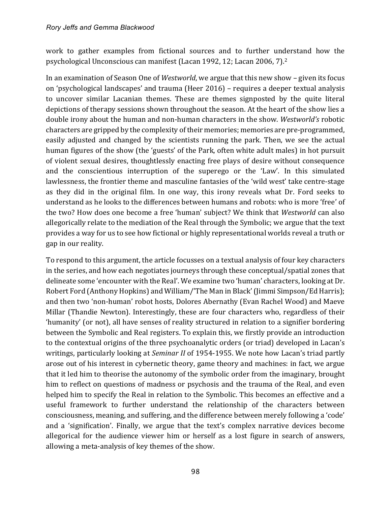work to gather examples from fictional sources and to further understand how the psychological Unconscious can manifest (Lacan 1992, 12; Lacan 2006, 7).<sup>2</sup>

In an examination of Season One of *Westworld*, we argue that this new show – given its focus on 'psychological landscapes' and trauma (Heer 2016) – requires a deeper textual analysis to uncover similar Lacanian themes. These are themes signposted by the quite literal depictions of therapy sessions shown throughout the season. At the heart of the show lies a double irony about the human and non-human characters in the show. Westworld's robotic characters are gripped by the complexity of their memories; memories are pre-programmed, easily adjusted and changed by the scientists running the park. Then, we see the actual human figures of the show (the 'guests' of the Park, often white adult males) in hot pursuit of violent sexual desires, thoughtlessly enacting free plays of desire without consequence and the conscientious interruption of the superego or the 'Law'. In this simulated lawlessness, the frontier theme and masculine fantasies of the 'wild west' take centre-stage as they did in the original film. In one way, this irony reveals what Dr. Ford seeks to understand as he looks to the differences between humans and robots: who is more 'free' of the two? How does one become a free 'human' subject? We think that *Westworld* can also allegorically relate to the mediation of the Real through the Symbolic; we argue that the text provides a way for us to see how fictional or highly representational worlds reveal a truth or gap in our reality.

To respond to this argument, the article focusses on a textual analysis of four key characters in the series, and how each negotiates journeys through these conceptual/spatial zones that delineate some 'encounter with the Real'. We examine two 'human' characters, looking at Dr. Robert Ford (Anthony Hopkins) and William/'The Man in Black' (Jimmi Simpson/Ed Harris); and then two 'non-human' robot hosts, Dolores Abernathy (Evan Rachel Wood) and Maeve Millar (Thandie Newton). Interestingly, these are four characters who, regardless of their 'humanity' (or not), all have senses of reality structured in relation to a signifier bordering between the Symbolic and Real registers. To explain this, we firstly provide an introduction to the contextual origins of the three psychoanalytic orders (or triad) developed in Lacan's writings, particularly looking at *Seminar II* of 1954-1955. We note how Lacan's triad partly arose out of his interest in cybernetic theory, game theory and machines: in fact, we argue that it led him to theorise the autonomy of the symbolic order from the imaginary, brought him to reflect on questions of madness or psychosis and the trauma of the Real, and even helped him to specify the Real in relation to the Symbolic. This becomes an effective and a useful framework to further understand the relationship of the characters between consciousness, meaning, and suffering, and the difference between merely following a 'code' and a 'signification'. Finally, we argue that the text's complex narrative devices become allegorical for the audience viewer him or herself as a lost figure in search of answers, allowing a meta-analysis of key themes of the show.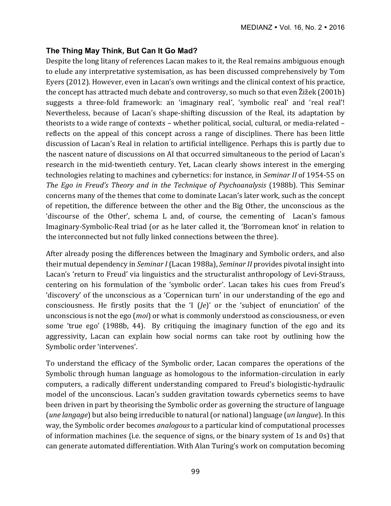# **The Thing May Think, But Can It Go Mad?**

Despite the long litany of references Lacan makes to it, the Real remains ambiguous enough to elude any interpretative systemisation, as has been discussed comprehensively by Tom Eyers (2012). However, even in Lacan's own writings and the clinical context of his practice, the concept has attracted much debate and controversy, so much so that even  $\tilde{Z}$ ižek (2001b) suggests a three-fold framework: an 'imaginary real', 'symbolic real' and 'real real'! Nevertheless, because of Lacan's shape-shifting discussion of the Real, its adaptation by theorists to a wide range of contexts - whether political, social, cultural, or media-related reflects on the appeal of this concept across a range of disciplines. There has been little discussion of Lacan's Real in relation to artificial intelligence. Perhaps this is partly due to the nascent nature of discussions on AI that occurred simultaneous to the period of Lacan's research in the mid-twentieth century. Yet, Lacan clearly shows interest in the emerging technologies relating to machines and cybernetics: for instance, in *Seminar II* of 1954-55 on *The Ego in Freud's Theory and in the Technique of Psychoanalysis* (1988b). This Seminar concerns many of the themes that come to dominate Lacan's later work, such as the concept of repetition, the difference between the other and the Big Other, the unconscious as the 'discourse of the Other', schema L and, of course, the cementing of Lacan's famous Imaginary-Symbolic-Real triad (or as he later called it, the 'Borromean knot' in relation to the interconnected but not fully linked connections between the three).

After already posing the differences between the Imaginary and Symbolic orders, and also their mutual dependency in *Seminar I* (Lacan 1988a), *Seminar II* provides pivotal insight into Lacan's 'return to Freud' via linguistics and the structuralist anthropology of Levi-Strauss, centering on his formulation of the 'symbolic order'. Lacan takes his cues from Freud's 'discovery' of the unconscious as a 'Copernican turn' in our understanding of the ego and consciousness. He firstly posits that the 'I (*Je*)' or the 'subject of enunciation' of the unconscious is not the ego (*moi*) or what is commonly understood as consciousness, or even some 'true ego' (1988b, 44). By critiquing the imaginary function of the ego and its aggressivity, Lacan can explain how social norms can take root by outlining how the Symbolic order 'intervenes'.

To understand the efficacy of the Symbolic order, Lacan compares the operations of the Symbolic through human language as homologous to the information-circulation in early computers, a radically different understanding compared to Freud's biologistic-hydraulic model of the unconscious. Lacan's sudden gravitation towards cybernetics seems to have been driven in part by theorising the Symbolic order as governing the structure of language (*une langage*) but also being irreducible to natural (or national) language (*un langue*). In this way, the Symbolic order becomes *analogous* to a particular kind of computational processes of information machines (i.e. the sequence of signs, or the binary system of 1s and 0s) that can generate automated differentiation. With Alan Turing's work on computation becoming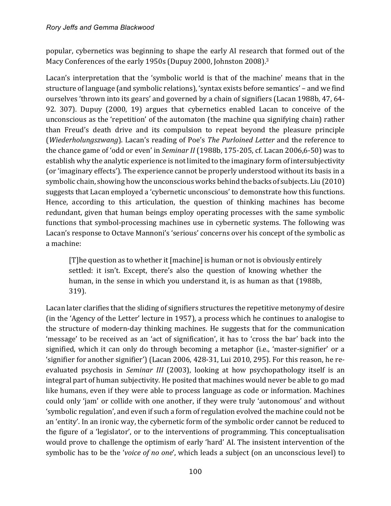popular, cybernetics was beginning to shape the early AI research that formed out of the Macy Conferences of the early 1950s (Dupuy 2000, Johnston 2008).<sup>3</sup>

Lacan's interpretation that the 'symbolic world is that of the machine' means that in the structure of language (and symbolic relations), 'syntax exists before semantics' – and we find ourselves 'thrown into its gears' and governed by a chain of signifiers (Lacan 1988b, 47, 64-92. 307). Dupuy (2000, 19) argues that cybernetics enabled Lacan to conceive of the unconscious as the 'repetition' of the automaton (the machine qua signifying chain) rather than Freud's death drive and its compulsion to repeat beyond the pleasure principle (*Wiederholungszwang*). Lacan's reading of Poe's *The Purloined Letter* and the reference to the chance game of 'odd or even' in *Seminar II* (1988b, 175-205, cf. Lacan 2006,6-50) was to establish why the analytic experience is not limited to the imaginary form of intersubjectivity (or 'imaginary effects'). The experience cannot be properly understood without its basis in a symbolic chain, showing how the unconscious works behind the backs of subjects. Liu (2010) suggests that Lacan employed a 'cybernetic unconscious' to demonstrate how this functions. Hence, according to this articulation, the question of thinking machines has become redundant, given that human beings employ operating processes with the same symbolic functions that symbol-processing machines use in cybernetic systems. The following was Lacan's response to Octave Mannoni's 'serious' concerns over his concept of the symbolic as a machine:

 $[T]$ he question as to whether it  $[machine]$  is human or not is obviously entirely settled: it isn't. Except, there's also the question of knowing whether the human, in the sense in which you understand it, is as human as that (1988b, 319). 

Lacan later clarifies that the sliding of signifiers structures the repetitive metonymy of desire (in the 'Agency of the Letter' lecture in 1957), a process which he continues to analogise to the structure of modern-day thinking machines. He suggests that for the communication 'message' to be received as an 'act of signification', it has to 'cross the bar' back into the signified, which it can only do through becoming a metaphor (i.e., 'master-signifier' or a 'signifier for another signifier') (Lacan 2006, 428-31, Lui 2010, 295). For this reason, he reevaluated psychosis in *Seminar III* (2003), looking at how psychopathology itself is an integral part of human subjectivity. He posited that machines would never be able to go mad like humans, even if they were able to process language as code or information. Machines could only 'jam' or collide with one another, if they were truly 'autonomous' and without 'symbolic regulation', and even if such a form of regulation evolved the machine could not be an 'entity'. In an ironic way, the cybernetic form of the symbolic order cannot be reduced to the figure of a 'legislator', or to the interventions of programming. This conceptualisation would prove to challenge the optimism of early 'hard' AI. The insistent intervention of the symbolic has to be the '*voice of no one'*, which leads a subject (on an unconscious level) to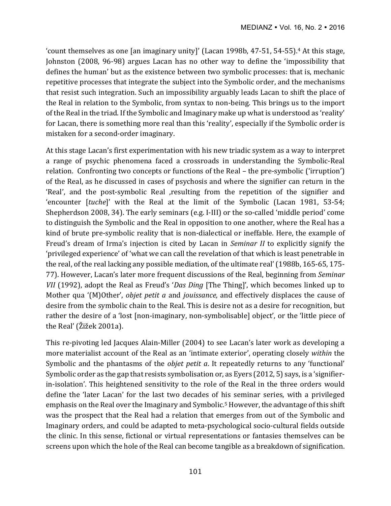'count themselves as one [an imaginary unity]' (Lacan 1998b, 47-51, 54-55).<sup>4</sup> At this stage, Johnston (2008, 96-98) argues Lacan has no other way to define the 'impossibility that defines the human' but as the existence between two symbolic processes: that is, mechanic repetitive processes that integrate the subject into the Symbolic order, and the mechanisms that resist such integration. Such an impossibility arguably leads Lacan to shift the place of the Real in relation to the Symbolic, from syntax to non-being. This brings us to the import of the Real in the triad. If the Symbolic and Imaginary make up what is understood as 'reality' for Lacan, there is something more real than this 'reality', especially if the Symbolic order is mistaken for a second-order imaginary.

At this stage Lacan's first experimentation with his new triadic system as a way to interpret a range of psychic phenomena faced a crossroads in understanding the Symbolic-Real relation. Confronting two concepts or functions of the Real – the pre-symbolic ('irruption') of the Real, as he discussed in cases of psychosis and where the signifier can return in the 'Real', and the post-symbolic Real ,resulting from the repetition of the signifier and 'encounter [tuche]' with the Real at the limit of the Symbolic (Lacan 1981, 53-54; Shepherdson 2008, 34). The early seminars  $(e.g., I-HII)$  or the so-called 'middle period' come to distinguish the Symbolic and the Real in opposition to one another, where the Real has a kind of brute pre-symbolic reality that is non-dialectical or ineffable. Here, the example of Freud's dream of Irma's injection is cited by Lacan in *Seminar II* to explicitly signify the 'privileged experience' of 'what we can call the revelation of that which is least penetrable in the real, of the real lacking any possible mediation, of the ultimate real' (1988b, 165-65, 175-77). However, Lacan's later more frequent discussions of the Real, beginning from *Seminar VII* (1992), adopt the Real as Freud's '*Das Ding* [The Thing]', which becomes linked up to Mother qua '(M)Other', *objet petit a* and *jouissance*, and effectively displaces the cause of desire from the symbolic chain to the Real. This is desire not as a desire for recognition, but rather the desire of a 'lost [non-imaginary, non-symbolisable] object', or the 'little piece of the Real' (Žižek 2001a).

This re-pivoting led Jacques Alain-Miller (2004) to see Lacan's later work as developing a more materialist account of the Real as an 'intimate exterior', operating closely *within* the Symbolic and the phantasms of the *objet petit a*. It repeatedly returns to any 'functional' Symbolic order as the gap that resists symbolisation or, as Eyers  $(2012, 5)$  says, is a 'signifierin-isolation'. This heightened sensitivity to the role of the Real in the three orders would define the 'later Lacan' for the last two decades of his seminar series, with a privileged emphasis on the Real over the Imaginary and Symbolic.<sup>5</sup> However, the advantage of this shift was the prospect that the Real had a relation that emerges from out of the Symbolic and Imaginary orders, and could be adapted to meta-psychological socio-cultural fields outside the clinic. In this sense, fictional or virtual representations or fantasies themselves can be screens upon which the hole of the Real can become tangible as a breakdown of signification.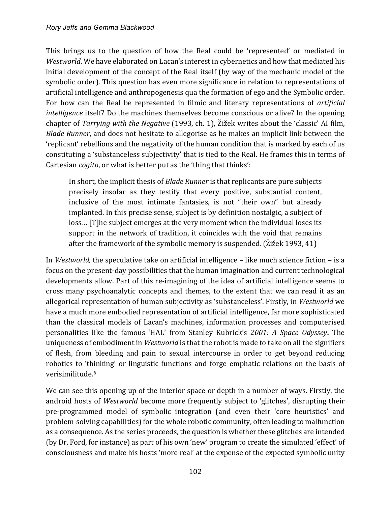This brings us to the question of how the Real could be 'represented' or mediated in *Westworld*. We have elaborated on Lacan's interest in cybernetics and how that mediated his initial development of the concept of the Real itself (by way of the mechanic model of the symbolic order). This question has even more significance in relation to representations of artificial intelligence and anthropogenesis qua the formation of ego and the Symbolic order. For how can the Real be represented in filmic and literary representations of *artificial intelligence* itself? Do the machines themselves become conscious or alive? In the opening chapter of *Tarrying with the Negative* (1993, ch. 1), Žižek writes about the 'classic' AI film, *Blade Runner*, and does not hesitate to allegorise as he makes an implicit link between the 'replicant' rebellions and the negativity of the human condition that is marked by each of us constituting a 'substanceless subjectivity' that is tied to the Real. He frames this in terms of Cartesian *cogito*, or what is better put as the 'thing that thinks':

In short, the implicit thesis of *Blade Runner* is that replicants are pure subjects precisely insofar as they testify that every positive, substantial content, inclusive of the most intimate fantasies, is not "their own" but already implanted. In this precise sense, subject is by definition nostalgic, a subject of loss... [T]he subject emerges at the very moment when the individual loses its support in the network of tradition, it coincides with the void that remains after the framework of the symbolic memory is suspended. (Žižek 1993, 41)

In *Westworld*, the speculative take on artificial intelligence – like much science fiction – is a focus on the present-day possibilities that the human imagination and current technological developments allow. Part of this re-imagining of the idea of artificial intelligence seems to cross many psychoanalytic concepts and themes, to the extent that we can read it as an allegorical representation of human subjectivity as 'substanceless'. Firstly, in *Westworld* we have a much more embodied representation of artificial intelligence, far more sophisticated than the classical models of Lacan's machines, information processes and computerised personalities like the famous 'HAL' from Stanley Kubrick's 2001: A Space Odyssey. The uniqueness of embodiment in *Westworld* is that the robot is made to take on all the signifiers of flesh, from bleeding and pain to sexual intercourse in order to get beyond reducing robotics to 'thinking' or linguistic functions and forge emphatic relations on the basis of verisimilitude.6

We can see this opening up of the interior space or depth in a number of ways. Firstly, the android hosts of *Westworld* become more frequently subject to 'glitches', disrupting their pre-programmed model of symbolic integration (and even their 'core heuristics' and problem-solving capabilities) for the whole robotic community, often leading to malfunction as a consequence. As the series proceeds, the question is whether these glitches are intended (by Dr. Ford, for instance) as part of his own 'new' program to create the simulated 'effect' of consciousness and make his hosts 'more real' at the expense of the expected symbolic unity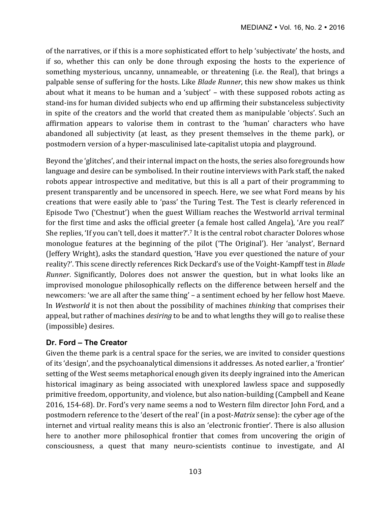of the narratives, or if this is a more sophisticated effort to help 'subjectivate' the hosts, and if so, whether this can only be done through exposing the hosts to the experience of something mysterious, uncanny, unnameable, or threatening (i.e. the Real), that brings a palpable sense of suffering for the hosts. Like *Blade Runner*, this new show makes us think about what it means to be human and a 'subject' – with these supposed robots acting as stand-ins for human divided subjects who end up affirming their substanceless subjectivity in spite of the creators and the world that created them as manipulable 'objects'. Such an affirmation appears to valorise them in contrast to the 'human' characters who have abandoned all subjectivity (at least, as they present themselves in the theme park), or postmodern version of a hyper-masculinised late-capitalist utopia and playground.

Beyond the 'glitches', and their internal impact on the hosts, the series also foregrounds how language and desire can be symbolised. In their routine interviews with Park staff, the naked robots appear introspective and meditative, but this is all a part of their programming to present transparently and be uncensored in speech. Here, we see what Ford means by his creations that were easily able to 'pass' the Turing Test. The Test is clearly referenced in Episode Two ('Chestnut') when the guest William reaches the Westworld arrival terminal for the first time and asks the official greeter (a female host called Angela), 'Are you real?' She replies, 'If you can't tell, does it matter?'.<sup>7</sup> It is the central robot character Dolores whose monologue features at the beginning of the pilot ('The Original'). Her 'analyst', Bernard (Jeffery Wright), asks the standard question, 'Have you ever questioned the nature of your reality?'. This scene directly references Rick Deckard's use of the Voight-Kampff test in *Blade Runner*. Significantly, Dolores does not answer the question, but in what looks like an improvised monologue philosophically reflects on the difference between herself and the newcomers: 'we are all after the same thing' – a sentiment echoed by her fellow host Maeve. In *Westworld* it is not then about the possibility of machines *thinking* that comprises their appeal, but rather of machines *desiring* to be and to what lengths they will go to realise these (impossible) desires.

## **Dr. Ford – The Creator**

Given the theme park is a central space for the series, we are invited to consider questions of its 'design', and the psychoanalytical dimensions it addresses. As noted earlier, a 'frontier' setting of the West seems metaphorical enough given its deeply ingrained into the American historical imaginary as being associated with unexplored lawless space and supposedly primitive freedom, opportunity, and violence, but also nation-building (Campbell and Keane 2016, 154-68). Dr. Ford's very name seems a nod to Western film director John Ford, and a postmodern reference to the 'desert of the real' (in a post-*Matrix* sense): the cyber age of the internet and virtual reality means this is also an 'electronic frontier'. There is also allusion here to another more philosophical frontier that comes from uncovering the origin of consciousness, a quest that many neuro-scientists continue to investigate, and AI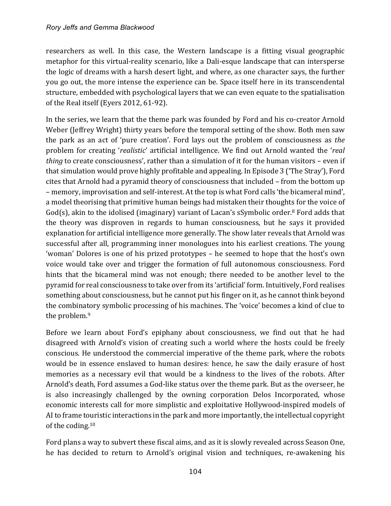researchers as well. In this case, the Western landscape is a fitting visual geographic metaphor for this virtual-reality scenario, like a Dali-esque landscape that can intersperse the logic of dreams with a harsh desert light, and where, as one character says, the further you go out, the more intense the experience can be. Space itself here in its transcendental structure, embedded with psychological layers that we can even equate to the spatialisation of the Real itself (Eyers 2012, 61-92).

In the series, we learn that the theme park was founded by Ford and his co-creator Arnold Weber (Jeffrey Wright) thirty years before the temporal setting of the show. Both men saw the park as an act of 'pure creation'. Ford lays out the problem of consciousness as *the* problem for creating 'realistic' artificial intelligence. We find out Arnold wanted the 'real *thing* to create consciousness', rather than a simulation of it for the human visitors – even if that simulation would prove highly profitable and appealing. In Episode 3 ('The Stray'), Ford cites that Arnold had a pyramid theory of consciousness that included - from the bottom up – memory, improvisation and self-interest. At the top is what Ford calls 'the bicameral mind', a model theorising that primitive human beings had mistaken their thoughts for the voice of God(s), akin to the idolised (imaginary) variant of Lacan's sSymbolic order.<sup>8</sup> Ford adds that the theory was disproven in regards to human consciousness, but he says it provided explanation for artificial intelligence more generally. The show later reveals that Arnold was successful after all, programming inner monologues into his earliest creations. The young 'woman' Dolores is one of his prized prototypes – he seemed to hope that the host's own voice would take over and trigger the formation of full autonomous consciousness. Ford hints that the bicameral mind was not enough; there needed to be another level to the pyramid for real consciousness to take over from its 'artificial' form. Intuitively, Ford realises something about consciousness, but he cannot put his finger on it, as he cannot think beyond the combinatory symbolic processing of his machines. The 'voice' becomes a kind of clue to the problem.<sup>9</sup>

Before we learn about Ford's epiphany about consciousness, we find out that he had disagreed with Arnold's vision of creating such a world where the hosts could be freely conscious. He understood the commercial imperative of the theme park, where the robots would be in essence enslaved to human desires: hence, he saw the daily erasure of host memories as a necessary evil that would be a kindness to the lives of the robots. After Arnold's death, Ford assumes a God-like status over the theme park. But as the overseer, he is also increasingly challenged by the owning corporation Delos Incorporated, whose economic interests call for more simplistic and exploitative Hollywood-inspired models of AI to frame touristic interactions in the park and more importantly, the intellectual copyright of the coding. $10$ 

Ford plans a way to subvert these fiscal aims, and as it is slowly revealed across Season One, he has decided to return to Arnold's original vision and techniques, re-awakening his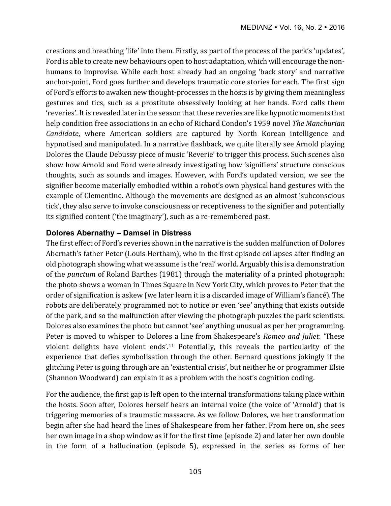creations and breathing 'life' into them. Firstly, as part of the process of the park's 'updates', Ford is able to create new behaviours open to host adaptation, which will encourage the nonhumans to improvise. While each host already had an ongoing 'back story' and narrative anchor-point, Ford goes further and develops traumatic core stories for each. The first sign of Ford's efforts to awaken new thought-processes in the hosts is by giving them meaningless gestures and tics, such as a prostitute obsessively looking at her hands. Ford calls them 'reveries'. It is revealed later in the season that these reveries are like hypnotic moments that help condition free associations in an echo of Richard Condon's 1959 novel *The Manchurian Candidate*, where American soldiers are captured by North Korean intelligence and hypnotised and manipulated. In a narrative flashback, we quite literally see Arnold playing Dolores the Claude Debussy piece of music 'Reverie' to trigger this process. Such scenes also show how Arnold and Ford were already investigating how 'signifiers' structure conscious thoughts, such as sounds and images. However, with Ford's updated version, we see the signifier become materially embodied within a robot's own physical hand gestures with the example of Clementine. Although the movements are designed as an almost 'subconscious tick', they also serve to invoke consciousness or receptiveness to the signifier and potentially its signified content ('the imaginary'), such as a re-remembered past.

### **Dolores Abernathy – Damsel in Distress**

The first effect of Ford's reveries shown in the narrative is the sudden malfunction of Dolores Abernath's father Peter (Louis Hertham), who in the first episode collapses after finding an old photograph showing what we assume is the 'real' world. Arguably this is a demonstration of the *punctum* of Roland Barthes (1981) through the materiality of a printed photograph: the photo shows a woman in Times Square in New York City, which proves to Peter that the order of signification is askew (we later learn it is a discarded image of William's fiancé). The robots are deliberately programmed not to notice or even 'see' anything that exists outside of the park, and so the malfunction after viewing the photograph puzzles the park scientists. Dolores also examines the photo but cannot 'see' anything unusual as per her programming. Peter is moved to whisper to Dolores a line from Shakespeare's *Romeo and Juliet*: 'These violent delights have violent ends'.<sup>11</sup> Potentially, this reveals the particularity of the experience that defies symbolisation through the other. Bernard questions jokingly if the glitching Peter is going through are an 'existential crisis', but neither he or programmer Elsie (Shannon Woodward) can explain it as a problem with the host's cognition coding.

For the audience, the first gap is left open to the internal transformations taking place within the hosts. Soon after, Dolores herself hears an internal voice (the voice of 'Arnold') that is triggering memories of a traumatic massacre. As we follow Dolores, we her transformation begin after she had heard the lines of Shakespeare from her father. From here on, she sees her own image in a shop window as if for the first time (episode 2) and later her own double in the form of a hallucination (episode 5), expressed in the series as forms of her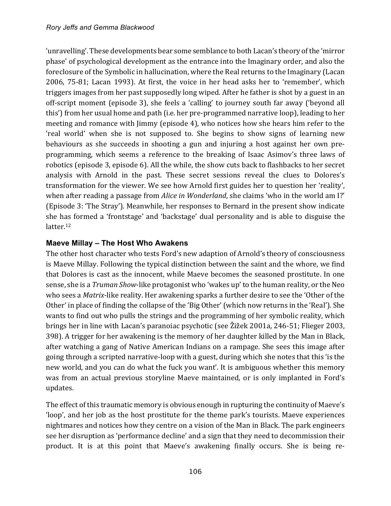'unravelling'. These developments bear some semblance to both Lacan's theory of the 'mirror phase' of psychological development as the entrance into the Imaginary order, and also the foreclosure of the Symbolic in hallucination, where the Real returns to the Imaginary (Lacan 2006, 75-81; Lacan 1993). At first, the voice in her head asks her to 'remember', which triggers images from her past supposedly long wiped. After he father is shot by a guest in an off-script moment (episode 3), she feels a 'calling' to journey south far away ('beyond all this') from her usual home and path (i.e. her pre-programmed narrative loop), leading to her meeting and romance with  $\lim_{\text{m}}$  (episode 4), who notices how she hears him refer to the 'real world' when she is not supposed to. She begins to show signs of learning new behaviours as she succeeds in shooting a gun and injuring a host against her own preprogramming, which seems a reference to the breaking of Isaac Asimov's three laws of robotics (episode 3, episode 6). All the while, the show cuts back to flashbacks to her secret analysis with Arnold in the past. These secret sessions reveal the clues to Dolores's transformation for the viewer. We see how Arnold first guides her to question her 'reality', when after reading a passage from *Alice in Wonderland*, she claims 'who in the world am I?' (Episode 3: 'The Stray'). Meanwhile, her responses to Bernard in the present show indicate she has formed a 'frontstage' and 'backstage' dual personality and is able to disguise the latter.<sup>12</sup>

## **Maeve Millay – The Host Who Awakens**

The other host character who tests Ford's new adaption of Arnold's theory of consciousness is Maeve Millay. Following the typical distinction between the saint and the whore, we find that Dolores is cast as the innocent, while Maeve becomes the seasoned prostitute. In one sense, she is a *Truman Show*-like protagonist who 'wakes up' to the human reality, or the Neo who sees a *Matrix*-like reality. Her awakening sparks a further desire to see the 'Other of the Other' in place of finding the collapse of the 'Big Other' (which now returns in the 'Real'). She wants to find out who pulls the strings and the programming of her symbolic reality, which brings her in line with Lacan's paranoiac psychotic (see Žižek 2001a, 246-51; Flieger 2003, 398). A trigger for her awakening is the memory of her daughter killed by the Man in Black, after watching a gang of Native American Indians on a rampage. She sees this image after going through a scripted narrative-loop with a guest, during which she notes that this 'is the new world, and you can do what the fuck you want'. It is ambiguous whether this memory was from an actual previous storyline Maeve maintained, or is only implanted in Ford's updates. 

The effect of this traumatic memory is obvious enough in rupturing the continuity of Maeve's 'loop', and her job as the host prostitute for the theme park's tourists. Maeve experiences nightmares and notices how they centre on a vision of the Man in Black. The park engineers see her disruption as 'performance decline' and a sign that they need to decommission their product. It is at this point that Maeve's awakening finally occurs. She is being re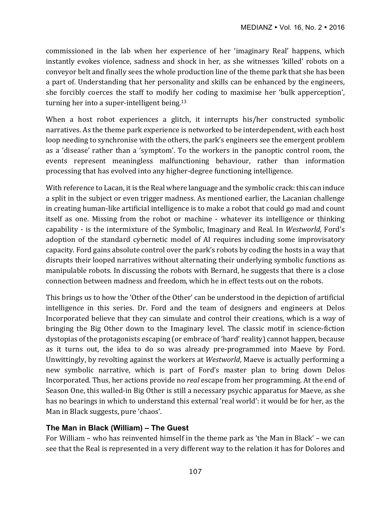commissioned in the lab when her experience of her 'imaginary Real' happens, which instantly evokes violence, sadness and shock in her, as she witnesses 'killed' robots on a conveyor belt and finally sees the whole production line of the theme park that she has been a part of. Understanding that her personality and skills can be enhanced by the engineers, she forcibly coerces the staff to modify her coding to maximise her 'bulk apperception', turning her into a super-intelligent being. $13$ 

When a host robot experiences a glitch, it interrupts his/her constructed symbolic narratives. As the theme park experience is networked to be interdependent, with each host loop needing to synchronise with the others, the park's engineers see the emergent problem as a 'disease' rather than a 'symptom'. To the workers in the panoptic control room, the events represent meaningless malfunctioning behaviour, rather than information processing that has evolved into any higher-degree functioning intelligence.

With reference to Lacan, it is the Real where language and the symbolic crack: this can induce a split in the subject or even trigger madness. As mentioned earlier, the Lacanian challenge in creating human-like artificial intelligence is to make a robot that could go mad and count itself as one. Missing from the robot or machine - whatever its intelligence or thinking capability - is the intermixture of the Symbolic, Imaginary and Real. In *Westworld*, Ford's adoption of the standard cybernetic model of AI requires including some improvisatory capacity. Ford gains absolute control over the park's robots by coding the hosts in a way that disrupts their looped narratives without alternating their underlying symbolic functions as manipulable robots. In discussing the robots with Bernard, he suggests that there is a close connection between madness and freedom, which he in effect tests out on the robots.

This brings us to how the 'Other of the Other' can be understood in the depiction of artificial intelligence in this series. Dr. Ford and the team of designers and engineers at Delos Incorporated believe that they can simulate and control their creations, which is a way of bringing the Big Other down to the Imaginary level. The classic motif in science-fiction dystopias of the protagonists escaping (or embrace of 'hard' reality) cannot happen, because as it turns out, the idea to do so was already pre-programmed into Maeve by Ford. Unwittingly, by revolting against the workers at *Westworld*, Maeve is actually performing a new symbolic narrative, which is part of Ford's master plan to bring down Delos Incorporated. Thus, her actions provide no *real* escape from her programming. At the end of Season One, this walled-in Big Other is still a necessary psychic apparatus for Maeve, as she has no bearings in which to understand this external 'real world': it would be for her, as the Man in Black suggests, pure 'chaos'.

## **The Man in Black (William) – The Guest**

For William – who has reinvented himself in the theme park as 'the Man in Black' – we can see that the Real is represented in a very different way to the relation it has for Dolores and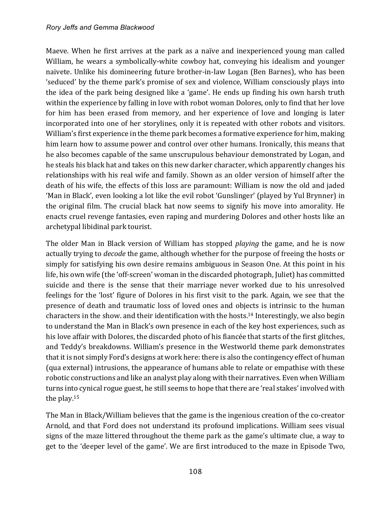Maeve. When he first arrives at the park as a naïve and inexperienced young man called William, he wears a symbolically-white cowboy hat, conveying his idealism and younger naivete. Unlike his domineering future brother-in-law Logan (Ben Barnes), who has been 'seduced' by the theme park's promise of sex and violence, William consciously plays into the idea of the park being designed like a 'game'. He ends up finding his own harsh truth within the experience by falling in love with robot woman Dolores, only to find that her love for him has been erased from memory, and her experience of love and longing is later incorporated into one of her storylines, only it is repeated with other robots and visitors. William's first experience in the theme park becomes a formative experience for him, making him learn how to assume power and control over other humans. Ironically, this means that he also becomes capable of the same unscrupulous behaviour demonstrated by Logan, and he steals his black hat and takes on this new darker character, which apparently changes his relationships with his real wife and family. Shown as an older version of himself after the death of his wife, the effects of this loss are paramount: William is now the old and jaded 'Man in Black', even looking a lot like the evil robot 'Gunslinger' (played by Yul Brynner) in the original film. The crucial black hat now seems to signify his move into amorality. He enacts cruel revenge fantasies, even raping and murdering Dolores and other hosts like an archetypal libidinal park tourist.

The older Man in Black version of William has stopped *playing* the game, and he is now actually trying to *decode* the game, although whether for the purpose of freeing the hosts or simply for satisfying his own desire remains ambiguous in Season One. At this point in his life, his own wife (the 'off-screen' woman in the discarded photograph, Juliet) has committed suicide and there is the sense that their marriage never worked due to his unresolved feelings for the 'lost' figure of Dolores in his first visit to the park. Again, we see that the presence of death and traumatic loss of loved ones and objects is intrinsic to the human characters in the show. and their identification with the hosts.<sup>14</sup> Interestingly, we also begin to understand the Man in Black's own presence in each of the key host experiences, such as his love affair with Dolores, the discarded photo of his fiancée that starts of the first glitches, and Teddy's breakdowns. William's presence in the Westworld theme park demonstrates that it is not simply Ford's designs at work here: there is also the contingency effect of human (qua external) intrusions, the appearance of humans able to relate or empathise with these robotic constructions and like an analyst play along with their narratives. Even when William turns into cynical rogue guest, he still seems to hope that there are 'real stakes' involved with the play. $15$ 

The Man in Black/William believes that the game is the ingenious creation of the co-creator Arnold, and that Ford does not understand its profound implications. William sees visual signs of the maze littered throughout the theme park as the game's ultimate clue, a way to get to the 'deeper level of the game'. We are first introduced to the maze in Episode Two,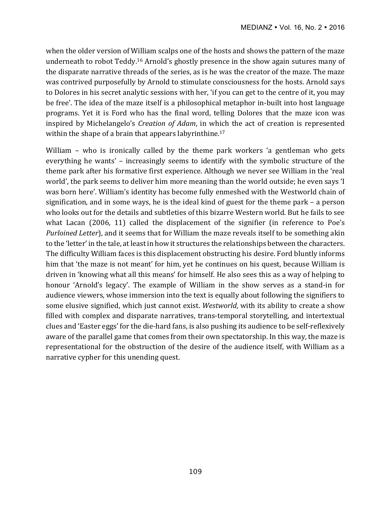when the older version of William scalps one of the hosts and shows the pattern of the maze underneath to robot Teddy.<sup>16</sup> Arnold's ghostly presence in the show again sutures many of the disparate narrative threads of the series, as is he was the creator of the maze. The maze was contrived purposefully by Arnold to stimulate consciousness for the hosts. Arnold says to Dolores in his secret analytic sessions with her, 'if you can get to the centre of it, you may be free'. The idea of the maze itself is a philosophical metaphor in-built into host language programs. Yet it is Ford who has the final word, telling Dolores that the maze icon was inspired by Michelangelo's *Creation of Adam*, in which the act of creation is represented within the shape of a brain that appears labyrinthine.<sup>17</sup>

William  $-$  who is ironically called by the theme park workers 'a gentleman who gets everything he wants' - increasingly seems to identify with the symbolic structure of the theme park after his formative first experience. Although we never see William in the 'real world', the park seems to deliver him more meaning than the world outside; he even says 'I was born here'. William's identity has become fully enmeshed with the Westworld chain of signification, and in some ways, he is the ideal kind of guest for the theme park – a person who looks out for the details and subtleties of this bizarre Western world. But he fails to see what Lacan  $(2006, 11)$  called the displacement of the signifier (in reference to Poe's *Purloined Letter*), and it seems that for William the maze reveals itself to be something akin to the 'letter' in the tale, at least in how it structures the relationships between the characters. The difficulty William faces is this displacement obstructing his desire. Ford bluntly informs him that 'the maze is not meant' for him, yet he continues on his quest, because William is driven in 'knowing what all this means' for himself. He also sees this as a way of helping to honour 'Arnold's legacy'. The example of William in the show serves as a stand-in for audience viewers, whose immersion into the text is equally about following the signifiers to some elusive signified, which just cannot exist. *Westworld*, with its ability to create a show filled with complex and disparate narratives, trans-temporal storytelling, and intertextual clues and 'Easter eggs' for the die-hard fans, is also pushing its audience to be self-reflexively aware of the parallel game that comes from their own spectatorship. In this way, the maze is representational for the obstruction of the desire of the audience itself, with William as a narrative cypher for this unending quest.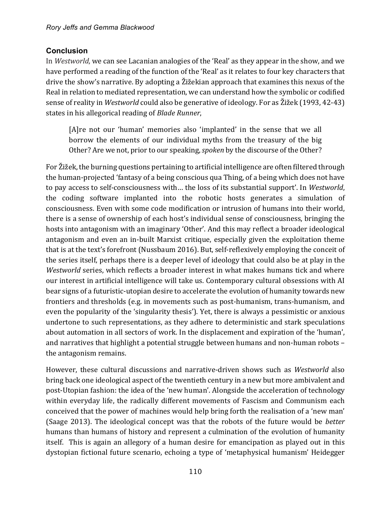## **Conclusion**

In *Westworld*, we can see Lacanian analogies of the 'Real' as they appear in the show, and we have performed a reading of the function of the 'Real' as it relates to four key characters that drive the show's narrative. By adopting a Žižekian approach that examines this nexus of the Real in relation to mediated representation, we can understand how the symbolic or codified sense of reality in *Westworld* could also be generative of ideology. For as Žižek (1993, 42-43) states in his allegorical reading of *Blade Runner*,

[A]re not our 'human' memories also 'implanted' in the sense that we all borrow the elements of our individual myths from the treasury of the big Other? Are we not, prior to our speaking, *spoken* by the discourse of the Other?

For Žižek, the burning questions pertaining to artificial intelligence are often filtered through the human-projected 'fantasy of a being conscious qua Thing, of a being which does not have to pay access to self-consciousness with... the loss of its substantial support'. In Westworld, the coding software implanted into the robotic hosts generates a simulation of consciousness. Even with some code modification or intrusion of humans into their world, there is a sense of ownership of each host's individual sense of consciousness, bringing the hosts into antagonism with an imaginary 'Other'. And this may reflect a broader ideological antagonism and even an in-built Marxist critique, especially given the exploitation theme that is at the text's forefront (Nussbaum 2016). But, self-reflexively employing the conceit of the series itself, perhaps there is a deeper level of ideology that could also be at play in the *Westworld* series, which reflects a broader interest in what makes humans tick and where our interest in artificial intelligence will take us. Contemporary cultural obsessions with AI bear signs of a futuristic-utopian desire to accelerate the evolution of humanity towards new frontiers and thresholds (e.g. in movements such as post-humanism, trans-humanism, and even the popularity of the 'singularity thesis'). Yet, there is always a pessimistic or anxious undertone to such representations, as they adhere to deterministic and stark speculations about automation in all sectors of work. In the displacement and expiration of the 'human', and narratives that highlight a potential struggle between humans and non-human robots the antagonism remains.

However, these cultural discussions and narrative-driven shows such as *Westworld* also bring back one ideological aspect of the twentieth century in a new but more ambivalent and post-Utopian fashion: the idea of the 'new human'. Alongside the acceleration of technology within everyday life, the radically different movements of Fascism and Communism each conceived that the power of machines would help bring forth the realisation of a 'new man' (Saage 2013). The ideological concept was that the robots of the future would be *better* humans than humans of history and represent a culmination of the evolution of humanity itself. This is again an allegory of a human desire for emancipation as played out in this dystopian fictional future scenario, echoing a type of 'metaphysical humanism' Heidegger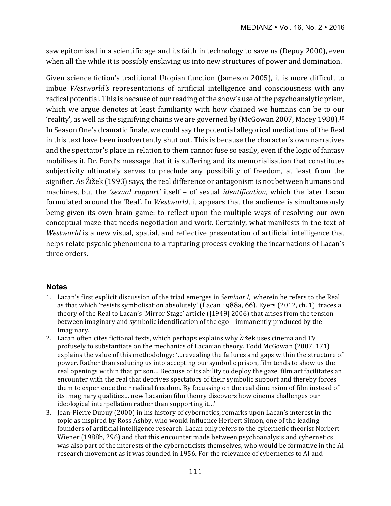saw epitomised in a scientific age and its faith in technology to save us (Depuy 2000), even when all the while it is possibly enslaving us into new structures of power and domination.

Given science fiction's traditional Utopian function (Jameson 2005), it is more difficult to imbue *Westworld's* representations of artificial intelligence and consciousness with any radical potential. This is because of our reading of the show's use of the psychoanalytic prism, which we argue denotes at least familiarity with how chained we humans can be to our 'reality', as well as the signifying chains we are governed by (McGowan 2007, Macey 1988).<sup>18</sup> In Season One's dramatic finale, we could say the potential allegorical mediations of the Real in this text have been inadvertently shut out. This is because the character's own narratives and the spectator's place in relation to them cannot fuse so easily, even if the logic of fantasy mobilises it. Dr. Ford's message that it is suffering and its memorialisation that constitutes subjectivity ultimately serves to preclude any possibility of freedom, at least from the signifier. As Žižek (1993) says, the real difference or antagonism is not between humans and machines, but the 'sexual rapport' itself - of sexual *identification*, which the later Lacan formulated around the 'Real'. In *Westworld*, it appears that the audience is simultaneously being given its own brain-game: to reflect upon the multiple ways of resolving our own conceptual maze that needs negotiation and work. Certainly, what manifests in the text of *Westworld* is a new visual, spatial, and reflective presentation of artificial intelligence that helps relate psychic phenomena to a rupturing process evoking the incarnations of Lacan's three orders.

## **Notes**

- 1. Lacan's first explicit discussion of the triad emerges in *Seminar I*, wherein he refers to the Real as that which 'resists symbolisation absolutely' (Lacan 1988a, 66). Eyers (2012, ch. 1) traces a theory of the Real to Lacan's 'Mirror Stage' article ([1949] 2006) that arises from the tension between imaginary and symbolic identification of the ego – immanently produced by the Imaginary.
- 2. Lacan often cites fictional texts, which perhaps explains why  $\tilde{Z}$ ižek uses cinema and TV profusely to substantiate on the mechanics of Lacanian theory. Todd McGowan (2007, 171) explains the value of this methodology: '...revealing the failures and gaps within the structure of power. Rather than seducing us into accepting our symbolic prison, film tends to show us the real openings within that prison... Because of its ability to deploy the gaze, film art facilitates an encounter with the real that deprives spectators of their symbolic support and thereby forces them to experience their radical freedom. By focussing on the real dimension of film instead of its imaginary qualities... new Lacanian film theory discovers how cinema challenges our ideological interpellation rather than supporting it...'
- 3. Jean-Pierre Dupuy (2000) in his history of cybernetics, remarks upon Lacan's interest in the topic as inspired by Ross Ashby, who would influence Herbert Simon, one of the leading founders of artificial intelligence research. Lacan only refers to the cybernetic theorist Norbert Wiener (1988b, 296) and that this encounter made between psychoanalysis and cybernetics was also part of the interests of the cyberneticists themselves, who would be formative in the AI research movement as it was founded in 1956. For the relevance of cybernetics to AI and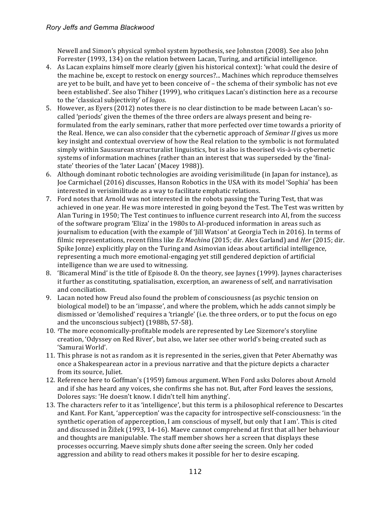#### *Rory Jeffs and Gemma Blackwood*

Newell and Simon's physical symbol system hypothesis, see Johnston (2008). See also John Forrester (1993, 134) on the relation between Lacan, Turing, and artificial intelligence.

- 4. As Lacan explains himself more clearly (given his historical context): 'what could the desire of the machine be, except to restock on energy sources?... Machines which reproduce themselves are yet to be built, and have yet to been conceive of  $-$  the schema of their symbolic has not eve been established'. See also Thiher (1999), who critiques Lacan's distinction here as a recourse to the 'classical subjectivity' of *logos*.
- 5. However, as Eyers (2012) notes there is no clear distinction to be made between Lacan's socalled 'periods' given the themes of the three orders are always present and being reformulated from the early seminars, rather that more perfected over time towards a priority of the Real. Hence, we can also consider that the cybernetic approach of *Seminar II* gives us more key insight and contextual overview of how the Real relation to the symbolic is not formulated simply within Saussurean structuralist linguistics, but is also is theorised vis-à-vis cybernetic systems of information machines (rather than an interest that was superseded by the 'finalstate' theories of the 'later Lacan' (Macey 1988)).
- 6. Although dominant robotic technologies are avoiding verisimilitude (in Japan for instance), as Joe Carmichael (2016) discusses, Hanson Robotics in the USA with its model 'Sophia' has been interested in verisimilitude as a way to facilitate emphatic relations.
- 7. Ford notes that Arnold was not interested in the robots passing the Turing Test, that was achieved in one year. He was more interested in going beyond the Test. The Test was written by Alan Turing in 1950; The Test continues to influence current research into AI, from the success of the software program 'Eliza' in the 1980s to AI-produced information in areas such as journalism to education (with the example of 'Jill Watson' at Georgia Tech in 2016). In terms of filmic representations, recent films like *Ex Machina* (2015; dir. Alex Garland) and *Her* (2015; dir. Spike Jonze) explicitly play on the Turing and Asimovian ideas about artificial intelligence, representing a much more emotional-engaging yet still gendered depiction of artificial intelligence than we are used to witnessing.
- 8. 'Bicameral Mind' is the title of Episode 8. On the theory, see Jaynes (1999). Jaynes characterises it further as constituting, spatialisation, excerption, an awareness of self, and narrativisation and conciliation.
- 9. Lacan noted how Freud also found the problem of consciousness (as psychic tension on biological model) to be an 'impasse', and where the problem, which he adds cannot simply be dismissed or 'demolished' requires a 'triangle' (i.e. the three orders, or to put the focus on ego and the unconscious subject) (1988b, 57-58).
- 10. The more economically-profitable models are represented by Lee Sizemore's storyline creation, 'Odyssey on Red River', but also, we later see other world's being created such as 'Samurai World'.
- 11. This phrase is not as random as it is represented in the series, given that Peter Abernathy was once a Shakespearean actor in a previous narrative and that the picture depicts a character from its source, Juliet.
- 12. Reference here to Goffman's (1959) famous argument. When Ford asks Dolores about Arnold and if she has heard any voices, she confirms she has not. But, after Ford leaves the sessions, Dolores says: 'He doesn't know. I didn't tell him anything'.
- 13. The characters refer to it as 'intelligence', but this term is a philosophical reference to Descartes and Kant. For Kant, 'apperception' was the capacity for introspective self-consciousness: 'in the synthetic operation of apperception, I am conscious of myself, but only that I am'. This is cited and discussed in  $\tilde{Z}$ ižek (1993, 14-16). Maeve cannot comprehend at first that all her behaviour and thoughts are manipulable. The staff member shows her a screen that displays these processes occurring. Maeve simply shuts done after seeing the screen. Only her coded aggression and ability to read others makes it possible for her to desire escaping.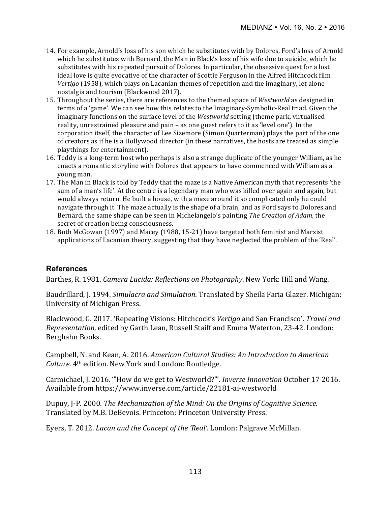- 14. For example, Arnold's loss of his son which he substitutes with by Dolores, Ford's loss of Arnold which he substitutes with Bernard, the Man in Black's loss of his wife due to suicide, which he substitutes with his repeated pursuit of Dolores. In particular, the obsessive quest for a lost ideal love is quite evocative of the character of Scottie Ferguson in the Alfred Hitchcock film *Vertigo* (1958), which plays on Lacanian themes of repetition and the imaginary, let alone nostalgia and tourism (Blackwood 2017).
- 15. Throughout the series, there are references to the themed space of *Westworld* as designed in terms of a 'game'. We can see how this relates to the Imaginary-Symbolic-Real triad. Given the imaginary functions on the surface level of the *Westworld* setting (theme park, virtualised reality, unrestrained pleasure and pain - as one guest refers to it as 'level one'). In the corporation itself, the character of Lee Sizemore (Simon Quarterman) plays the part of the one of creators as if he is a Hollywood director (in these narratives, the hosts are treated as simple playthings for entertainment).
- 16. Teddy is a long-term host who perhaps is also a strange duplicate of the younger William, as he enacts a romantic storyline with Dolores that appears to have commenced with William as a young man.
- 17. The Man in Black is told by Teddy that the maze is a Native American myth that represents 'the sum of a man's life'. At the centre is a legendary man who was killed over again and again, but would always return. He built a house, with a maze around it so complicated only he could navigate through it. The maze actually is the shape of a brain, and as Ford says to Dolores and Bernard, the same shape can be seen in Michelangelo's painting *The Creation of Adam*, the secret of creation being consciousness.
- 18. Both McGowan (1997) and Macey (1988, 15-21) have targeted both feminist and Marxist applications of Lacanian theory, suggesting that they have neglected the problem of the 'Real'.

### **References**

Barthes, R. 1981. *Camera Lucida: Reflections on Photography*. New York: Hill and Wang.

Baudrillard, J. 1994. *Simulacra and Simulation*. Translated by Sheila Faria Glazer. Michigan: University of Michigan Press.

Blackwood, G. 2017. 'Repeating Visions: Hitchcock's *Vertigo* and San Francisco'. *Travel and Representation,* edited by Garth Lean, Russell Staiff and Emma Waterton, 23-42. London: Berghahn Books.

Campbell, N. and Kean, A. 2016. *American Cultural Studies: An Introduction to American Culture.* 4<sup>th</sup> edition. New York and London: Routledge.

Carmichael, J. 2016. "How do we get to Westworld?"'. *Inverse Innovation* October 17 2016. Available from https://www.inverse.com/article/22181-ai-westworld

Dupuy, J-P. 2000. *The Mechanization of the Mind: On the Origins of Cognitive Science.* Translated by M.B. DeBevois. Princeton: Princeton University Press.

Eyers, T. 2012. *Lacan and the Concept of the 'Real'*. London: Palgrave McMillan.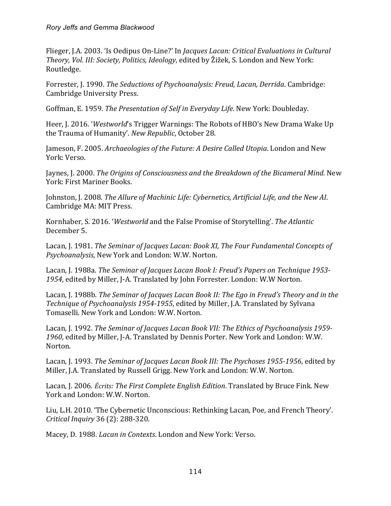Flieger, J.A. 2003. 'Is Oedipus On-Line?' In *Jacques Lacan: Critical Evaluations in Cultural* Theory, Vol. III: Society, Politics, Ideology, edited by Žižek, S. London and New York: Routledge.

Forrester, J. 1990. *The Seductions of Psychoanalysis: Freud, Lacan, Derrida.* Cambridge: Cambridge University Press.

Goffman, E. 1959. *The Presentation of Self in Everyday Life*. New York: Doubleday.

Heer, J. 2016. '*Westworld's* Trigger Warnings: The Robots of HBO's New Drama Wake Up the Trauma of Humanity'. *New Republic*, October 28.

Jameson, F. 2005. *Archaeologies of the Future: A Desire Called Utopia*. London and New York: Verso.

Jaynes, J. 2000. *The Origins of Consciousness and the Breakdown of the Bicameral Mind.* New York: First Mariner Books.

Johnston, J. 2008. *The Allure of Machinic Life: Cybernetics, Artificial Life, and the New AI*. Cambridge MA: MIT Press.

Kornhaber, S. 2016. '*Westworld* and the False Promise of Storytelling'. The Atlantic December 5.

Lacan, J. 1981. *The Seminar of Jacques Lacan: Book XI, The Four Fundamental Concepts of Psychoanalysis*, New York and London: W.W. Norton.

Lacan, J. 1988a. *The Seminar of Jacques Lacan Book I: Freud's Papers on Technique 1953-*1954, edited by Miller, J-A. Translated by John Forrester. London: W.W Norton.

Lacan, J. 1988b. *The Seminar of Jacques Lacan Book II: The Ego in Freud's Theory and in the Technique of Psychoanalysis 1954-1955*, edited by Miller, J.A. Translated by Sylvana Tomaselli. New York and London: W.W. Norton.

Lacan, J. 1992. *The Seminar of Jacques Lacan Book VII: The Ethics of Psychoanalysis* 1959-1960, edited by Miller, J-A. Translated by Dennis Porter. New York and London: W.W. Norton. 

Lacan, J. 1993. *The Seminar of Jacques Lacan Book III: The Psychoses 1955-1956*, edited by Miller, J.A. Translated by Russell Grigg. New York and London: W.W. Norton.

Lacan, J. 2006. *Écrits: The First Complete English Edition*. Translated by Bruce Fink. New York and London: W.W. Norton.

Liu, L.H. 2010. 'The Cybernetic Unconscious: Rethinking Lacan, Poe, and French Theory'. *Critical Inquiry* 36 (2): 288-320.

Macey, D. 1988. *Lacan in Contexts*. London and New York: Verso.